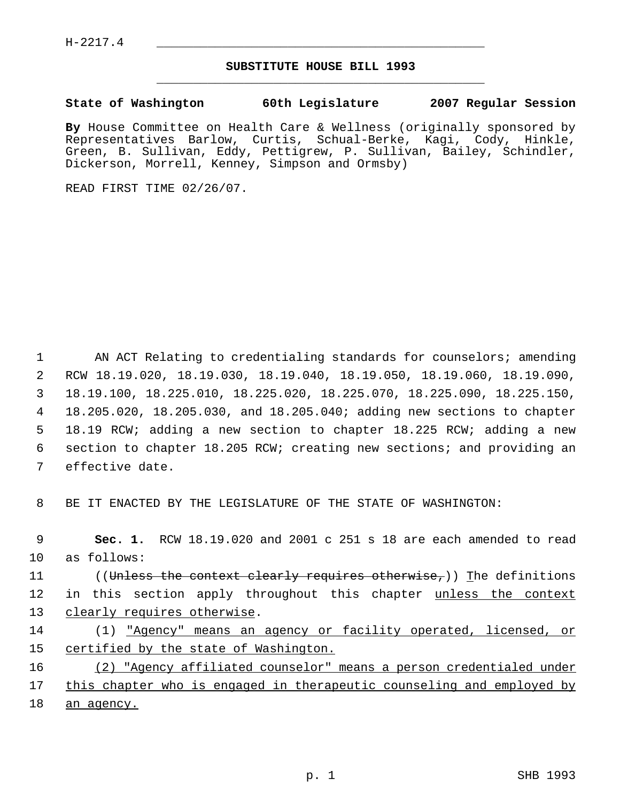## **SUBSTITUTE HOUSE BILL 1993** \_\_\_\_\_\_\_\_\_\_\_\_\_\_\_\_\_\_\_\_\_\_\_\_\_\_\_\_\_\_\_\_\_\_\_\_\_\_\_\_\_\_\_\_\_

## **State of Washington 60th Legislature 2007 Regular Session**

**By** House Committee on Health Care & Wellness (originally sponsored by Representatives Barlow, Curtis, Schual-Berke, Kagi, Cody, Hinkle, Green, B. Sullivan, Eddy, Pettigrew, P. Sullivan, Bailey, Schindler, Dickerson, Morrell, Kenney, Simpson and Ormsby)

READ FIRST TIME 02/26/07.

1 AN ACT Relating to credentialing standards for counselors; amending RCW 18.19.020, 18.19.030, 18.19.040, 18.19.050, 18.19.060, 18.19.090, 18.19.100, 18.225.010, 18.225.020, 18.225.070, 18.225.090, 18.225.150, 18.205.020, 18.205.030, and 18.205.040; adding new sections to chapter 18.19 RCW; adding a new section to chapter 18.225 RCW; adding a new section to chapter 18.205 RCW; creating new sections; and providing an effective date.

8 BE IT ENACTED BY THE LEGISLATURE OF THE STATE OF WASHINGTON:

 **Sec. 1.** RCW 18.19.020 and 2001 c 251 s 18 are each amended to read as follows: 11 ((<del>Unless the context clearly requires otherwise,</del>)) The definitions 12 in this section apply throughout this chapter unless the context 13 clearly requires otherwise. (1) "Agency" means an agency or facility operated, licensed, or certified by the state of Washington. (2) "Agency affiliated counselor" means a person credentialed under

17 this chapter who is engaged in therapeutic counseling and employed by 18 an agency.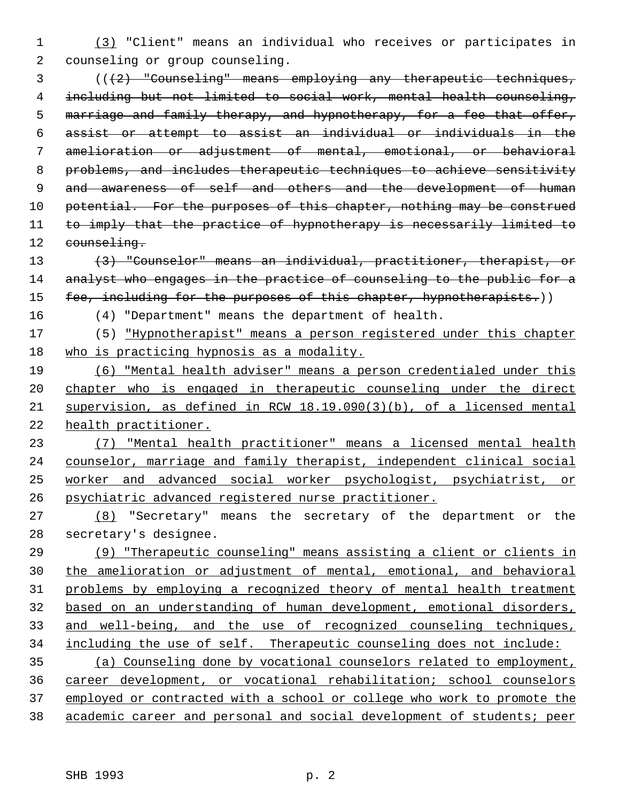(3) "Client" means an individual who receives or participates in counseling or group counseling.

 (((2) "Counseling" means employing any therapeutic techniques, including but not limited to social work, mental health counseling, marriage and family therapy, and hypnotherapy, for a fee that offer, assist or attempt to assist an individual or individuals in the amelioration or adjustment of mental, emotional, or behavioral problems, and includes therapeutic techniques to achieve sensitivity 9 and awareness of self and others and the development of human 10 potential. For the purposes of this chapter, nothing may be construed 11 to imply that the practice of hypnotherapy is necessarily limited to 12 counseling.

 (3) "Counselor" means an individual, practitioner, therapist, or 14 analyst who engages in the practice of counseling to the public for a 15 fee, including for the purposes of this chapter, hypnotherapists.))

(4) "Department" means the department of health.

 (5) "Hypnotherapist" means a person registered under this chapter who is practicing hypnosis as a modality.

 (6) "Mental health adviser" means a person credentialed under this chapter who is engaged in therapeutic counseling under the direct supervision, as defined in RCW 18.19.090(3)(b), of a licensed mental health practitioner.

 (7) "Mental health practitioner" means a licensed mental health counselor, marriage and family therapist, independent clinical social worker and advanced social worker psychologist, psychiatrist, or psychiatric advanced registered nurse practitioner.

 (8) "Secretary" means the secretary of the department or the secretary's designee.

 (9) "Therapeutic counseling" means assisting a client or clients in the amelioration or adjustment of mental, emotional, and behavioral problems by employing a recognized theory of mental health treatment based on an understanding of human development, emotional disorders, and well-being, and the use of recognized counseling techniques, including the use of self. Therapeutic counseling does not include: (a) Counseling done by vocational counselors related to employment, career development, or vocational rehabilitation; school counselors

 employed or contracted with a school or college who work to promote the academic career and personal and social development of students; peer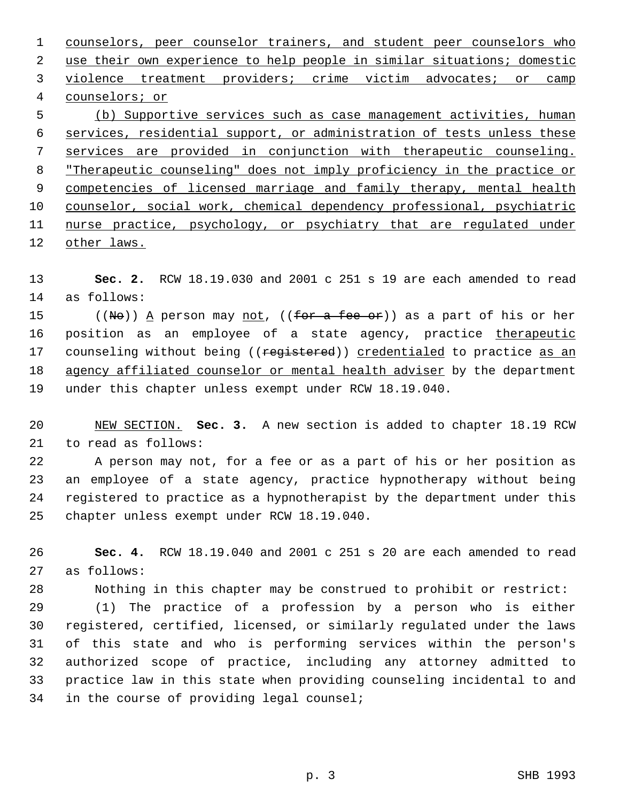counselors, peer counselor trainers, and student peer counselors who use their own experience to help people in similar situations; domestic 3 violence treatment providers; crime victim advocates; or camp counselors; or (b) Supportive services such as case management activities, human services, residential support, or administration of tests unless these services are provided in conjunction with therapeutic counseling. "Therapeutic counseling" does not imply proficiency in the practice or 9 competencies of licensed marriage and family therapy, mental health counselor, social work, chemical dependency professional, psychiatric

11 nurse practice, psychology, or psychiatry that are regulated under other laws.

 **Sec. 2.** RCW 18.19.030 and 2001 c 251 s 19 are each amended to read as follows:

15 ((No)) A person may <u>not</u>, ((for a fee or)) as a part of his or her 16 position as an employee of a state agency, practice therapeutic 17 counseling without being ((registered)) credentialed to practice as an agency affiliated counselor or mental health adviser by the department under this chapter unless exempt under RCW 18.19.040.

 NEW SECTION. **Sec. 3.** A new section is added to chapter 18.19 RCW to read as follows:

 A person may not, for a fee or as a part of his or her position as an employee of a state agency, practice hypnotherapy without being registered to practice as a hypnotherapist by the department under this chapter unless exempt under RCW 18.19.040.

 **Sec. 4.** RCW 18.19.040 and 2001 c 251 s 20 are each amended to read as follows:

Nothing in this chapter may be construed to prohibit or restrict:

 (1) The practice of a profession by a person who is either registered, certified, licensed, or similarly regulated under the laws of this state and who is performing services within the person's authorized scope of practice, including any attorney admitted to practice law in this state when providing counseling incidental to and in the course of providing legal counsel;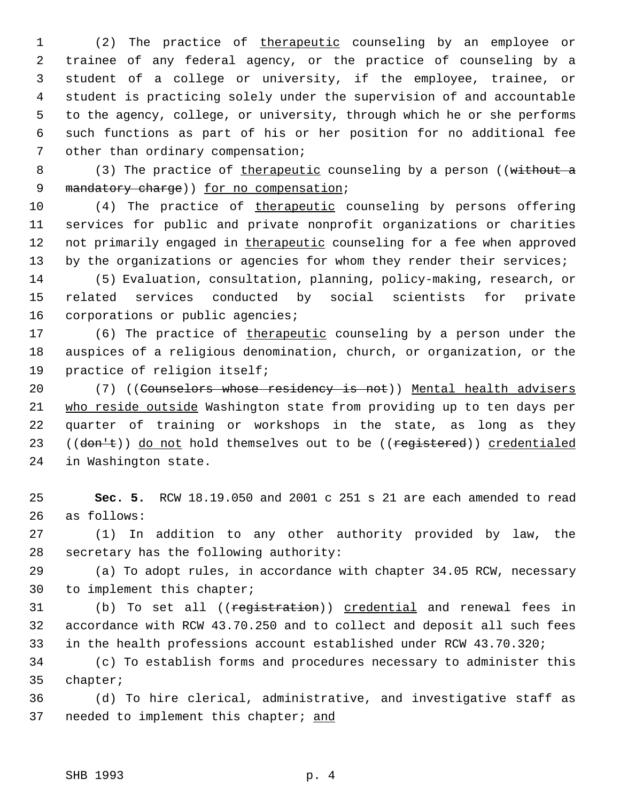1 (2) The practice of therapeutic counseling by an employee or trainee of any federal agency, or the practice of counseling by a student of a college or university, if the employee, trainee, or student is practicing solely under the supervision of and accountable to the agency, college, or university, through which he or she performs such functions as part of his or her position for no additional fee other than ordinary compensation;

8 (3) The practice of therapeutic counseling by a person ((without a 9 mandatory charge) for no compensation;

 (4) The practice of therapeutic counseling by persons offering services for public and private nonprofit organizations or charities 12 not primarily engaged in therapeutic counseling for a fee when approved 13 by the organizations or agencies for whom they render their services;

 (5) Evaluation, consultation, planning, policy-making, research, or related services conducted by social scientists for private corporations or public agencies;

17 (6) The practice of therapeutic counseling by a person under the auspices of a religious denomination, church, or organization, or the practice of religion itself;

20 (7) ((Counselors whose residency is not)) Mental health advisers who reside outside Washington state from providing up to ten days per quarter of training or workshops in the state, as long as they 23 ((don't)) do not hold themselves out to be ((registered)) credentialed in Washington state.

 **Sec. 5.** RCW 18.19.050 and 2001 c 251 s 21 are each amended to read as follows:

 (1) In addition to any other authority provided by law, the secretary has the following authority:

 (a) To adopt rules, in accordance with chapter 34.05 RCW, necessary to implement this chapter;

31 (b) To set all ((registration)) credential and renewal fees in accordance with RCW 43.70.250 and to collect and deposit all such fees in the health professions account established under RCW 43.70.320;

 (c) To establish forms and procedures necessary to administer this chapter;

 (d) To hire clerical, administrative, and investigative staff as 37 needed to implement this chapter; and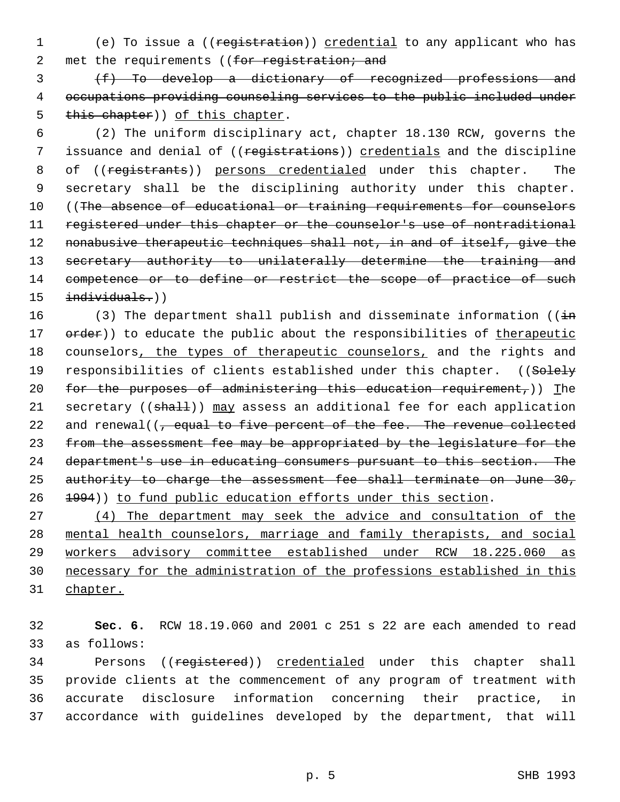1 (e) To issue a ((registration)) credential to any applicant who has 2 met the requirements ((for registration; and

 3 (f) To develop a dictionary of recognized professions and 4 occupations providing counseling services to the public included under 5 this chapter)) of this chapter.

 6 (2) The uniform disciplinary act, chapter 18.130 RCW, governs the 7 issuance and denial of ((registrations)) credentials and the discipline 8 of ((registrants)) persons credentialed under this chapter. The 9 secretary shall be the disciplining authority under this chapter. 10 ((The absence of educational or training requirements for counselors 11 registered under this chapter or the counselor's use of nontraditional 12 nonabusive therapeutic techniques shall not, in and of itself, give the 13 secretary authority to unilaterally determine the training and 14 competence or to define or restrict the scope of practice of such 15 individuals.))

16 (3) The department shall publish and disseminate information ( $(i+n)$ 17 order)) to educate the public about the responsibilities of therapeutic 18 counselors, the types of therapeutic counselors, and the rights and 19 responsibilities of clients established under this chapter. ((Solely 20 for the purposes of administering this education requirement,)) The 21 secretary ((shall)) may assess an additional fee for each application 22 and renewal( $\left(\frac{1}{f}\right)$  equal to five percent of the fee. The revenue collected 23 from the assessment fee may be appropriated by the legislature for the 24 department's use in educating consumers pursuant to this section. The 25 authority to charge the assessment fee shall terminate on June 30, 26 1994)) to fund public education efforts under this section.

 (4) The department may seek the advice and consultation of the mental health counselors, marriage and family therapists, and social workers advisory committee established under RCW 18.225.060 as necessary for the administration of the professions established in this 31 chapter.

32 **Sec. 6.** RCW 18.19.060 and 2001 c 251 s 22 are each amended to read 33 as follows:

34 Persons ((registered)) credentialed under this chapter shall provide clients at the commencement of any program of treatment with accurate disclosure information concerning their practice, in accordance with guidelines developed by the department, that will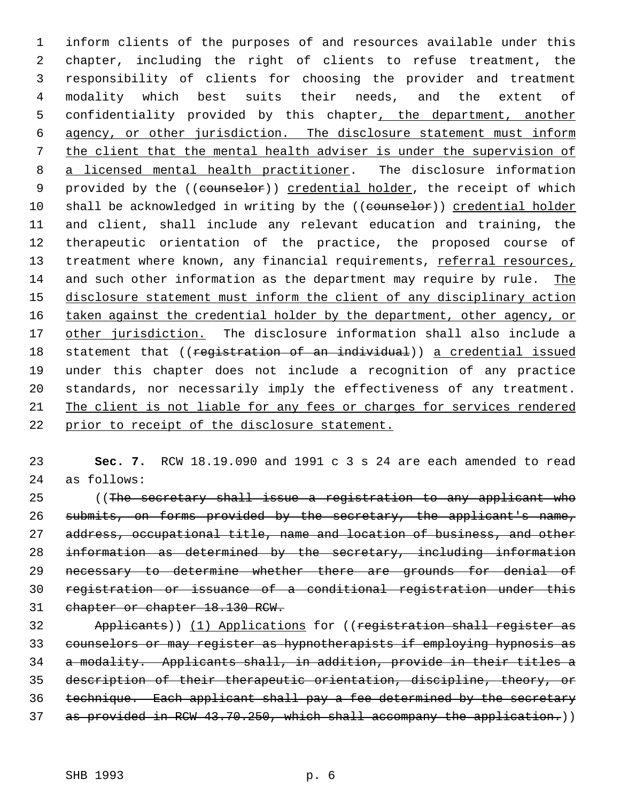inform clients of the purposes of and resources available under this chapter, including the right of clients to refuse treatment, the responsibility of clients for choosing the provider and treatment modality which best suits their needs, and the extent of confidentiality provided by this chapter, the department, another agency, or other jurisdiction. The disclosure statement must inform the client that the mental health adviser is under the supervision of 8 a licensed mental health practitioner. The disclosure information 9 provided by the ((counselor)) credential holder, the receipt of which 10 shall be acknowledged in writing by the ((counselor)) credential holder and client, shall include any relevant education and training, the therapeutic orientation of the practice, the proposed course of 13 treatment where known, any financial requirements, referral resources, and such other information as the department may require by rule. The disclosure statement must inform the client of any disciplinary action 16 taken against the credential holder by the department, other agency, or 17 other jurisdiction. The disclosure information shall also include a 18 statement that ((registration of an individual)) a credential issued under this chapter does not include a recognition of any practice standards, nor necessarily imply the effectiveness of any treatment. The client is not liable for any fees or charges for services rendered prior to receipt of the disclosure statement.

 **Sec. 7.** RCW 18.19.090 and 1991 c 3 s 24 are each amended to read as follows:

 ((The secretary shall issue a registration to any applicant who submits, on forms provided by the secretary, the applicant's name, 27 address, occupational title, name and location of business, and other information as determined by the secretary, including information 29 necessary to determine whether there are grounds for denial of registration or issuance of a conditional registration under this chapter or chapter 18.130 RCW.

 Applicants)) (1) Applications for ((registration shall register as counselors or may register as hypnotherapists if employing hypnosis as a modality. Applicants shall, in addition, provide in their titles a description of their therapeutic orientation, discipline, theory, or technique. Each applicant shall pay a fee determined by the secretary 37 as provided in RCW 43.70.250, which shall accompany the application.))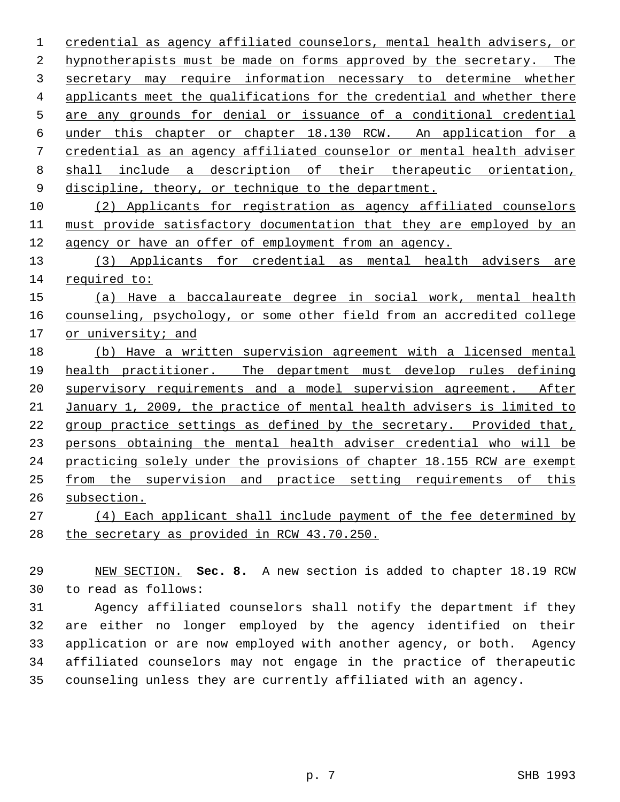credential as agency affiliated counselors, mental health advisers, or hypnotherapists must be made on forms approved by the secretary. The secretary may require information necessary to determine whether applicants meet the qualifications for the credential and whether there are any grounds for denial or issuance of a conditional credential under this chapter or chapter 18.130 RCW. An application for a credential as an agency affiliated counselor or mental health adviser shall include a description of their therapeutic orientation, 9 discipline, theory, or technique to the department.

 (2) Applicants for registration as agency affiliated counselors must provide satisfactory documentation that they are employed by an agency or have an offer of employment from an agency.

 (3) Applicants for credential as mental health advisers are required to:

 (a) Have a baccalaureate degree in social work, mental health counseling, psychology, or some other field from an accredited college or university; and

 (b) Have a written supervision agreement with a licensed mental health practitioner. The department must develop rules defining 20 supervisory requirements and a model supervision agreement. After January 1, 2009, the practice of mental health advisers is limited to group practice settings as defined by the secretary. Provided that, persons obtaining the mental health adviser credential who will be practicing solely under the provisions of chapter 18.155 RCW are exempt from the supervision and practice setting requirements of this subsection.

 (4) Each applicant shall include payment of the fee determined by the secretary as provided in RCW 43.70.250.

 NEW SECTION. **Sec. 8.** A new section is added to chapter 18.19 RCW to read as follows:

 Agency affiliated counselors shall notify the department if they are either no longer employed by the agency identified on their application or are now employed with another agency, or both. Agency affiliated counselors may not engage in the practice of therapeutic counseling unless they are currently affiliated with an agency.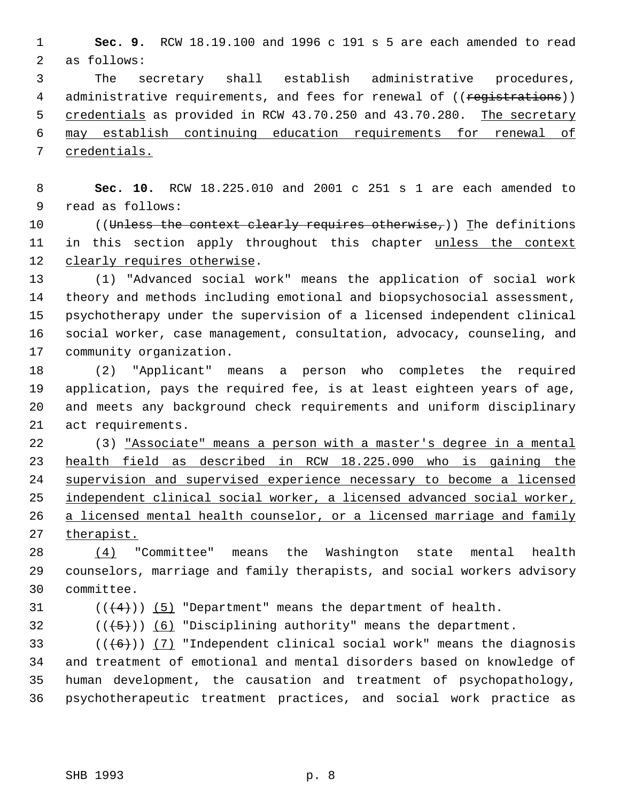**Sec. 9.** RCW 18.19.100 and 1996 c 191 s 5 are each amended to read as follows:

 The secretary shall establish administrative procedures, 4 administrative requirements, and fees for renewal of ((registrations)) 5 credentials as provided in RCW 43.70.250 and 43.70.280. The secretary may establish continuing education requirements for renewal of credentials.

 **Sec. 10.** RCW 18.225.010 and 2001 c 251 s 1 are each amended to read as follows:

10 ((Unless the context clearly requires otherwise,)) The definitions 11 in this section apply throughout this chapter unless the context 12 clearly requires otherwise.

 (1) "Advanced social work" means the application of social work theory and methods including emotional and biopsychosocial assessment, psychotherapy under the supervision of a licensed independent clinical social worker, case management, consultation, advocacy, counseling, and community organization.

 (2) "Applicant" means a person who completes the required application, pays the required fee, is at least eighteen years of age, and meets any background check requirements and uniform disciplinary act requirements.

 (3) "Associate" means a person with a master's degree in a mental health field as described in RCW 18.225.090 who is gaining the supervision and supervised experience necessary to become a licensed independent clinical social worker, a licensed advanced social worker, 26 a licensed mental health counselor, or a licensed marriage and family 27 therapist.

 (4) "Committee" means the Washington state mental health counselors, marriage and family therapists, and social workers advisory committee.

31  $((4+))$  (5) "Department" means the department of health.

32  $((\overline{5}))$  (6) "Disciplining authority" means the department.

33 ( $(\overline{6})$ ) (7) "Independent clinical social work" means the diagnosis and treatment of emotional and mental disorders based on knowledge of human development, the causation and treatment of psychopathology, psychotherapeutic treatment practices, and social work practice as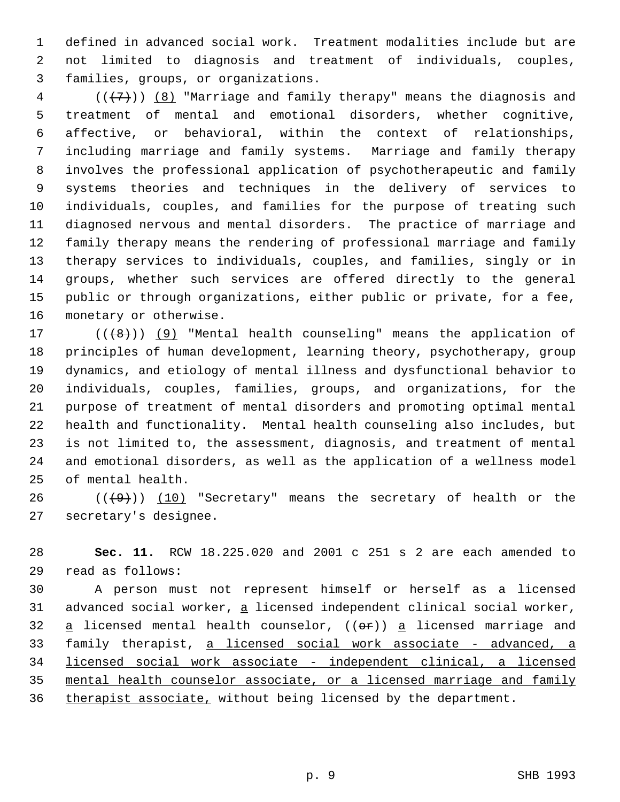defined in advanced social work. Treatment modalities include but are not limited to diagnosis and treatment of individuals, couples, families, groups, or organizations.

 (( $\{7\}$ )) <u>(8)</u> "Marriage and family therapy" means the diagnosis and treatment of mental and emotional disorders, whether cognitive, affective, or behavioral, within the context of relationships, including marriage and family systems. Marriage and family therapy involves the professional application of psychotherapeutic and family systems theories and techniques in the delivery of services to individuals, couples, and families for the purpose of treating such diagnosed nervous and mental disorders. The practice of marriage and family therapy means the rendering of professional marriage and family therapy services to individuals, couples, and families, singly or in groups, whether such services are offered directly to the general public or through organizations, either public or private, for a fee, monetary or otherwise.

 $((+8))$  (9) "Mental health counseling" means the application of principles of human development, learning theory, psychotherapy, group dynamics, and etiology of mental illness and dysfunctional behavior to individuals, couples, families, groups, and organizations, for the purpose of treatment of mental disorders and promoting optimal mental health and functionality. Mental health counseling also includes, but is not limited to, the assessment, diagnosis, and treatment of mental and emotional disorders, as well as the application of a wellness model of mental health.

 $((+9))$   $(10)$  "Secretary" means the secretary of health or the secretary's designee.

 **Sec. 11.** RCW 18.225.020 and 2001 c 251 s 2 are each amended to read as follows:

 A person must not represent himself or herself as a licensed 31 advanced social worker, a licensed independent clinical social worker, 32  $a$  licensed mental health counselor, (( $\Theta$ r))  $a$  licensed marriage and 33 family therapist, a licensed social work associate - advanced, a 34 licensed social work associate - independent clinical, a licensed mental health counselor associate, or a licensed marriage and family 36 therapist associate, without being licensed by the department.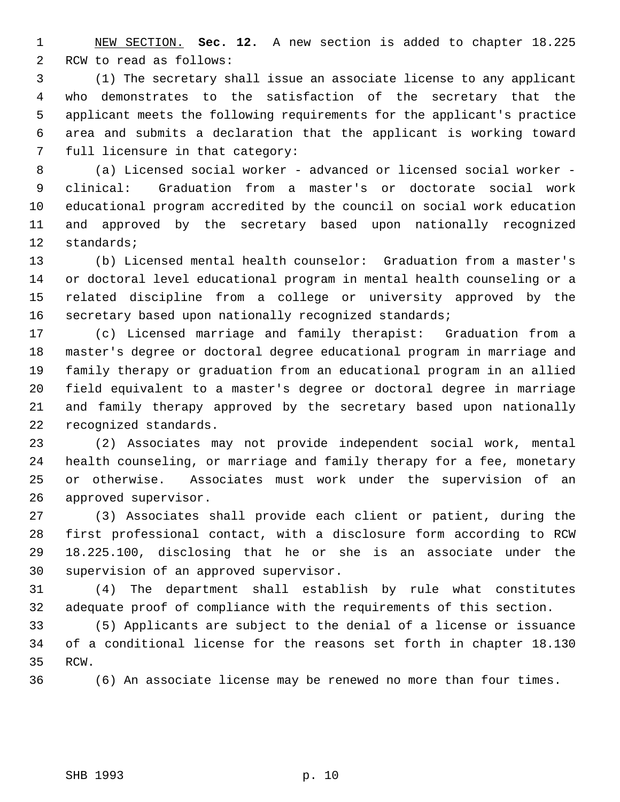NEW SECTION. **Sec. 12.** A new section is added to chapter 18.225 RCW to read as follows:

 (1) The secretary shall issue an associate license to any applicant who demonstrates to the satisfaction of the secretary that the applicant meets the following requirements for the applicant's practice area and submits a declaration that the applicant is working toward full licensure in that category:

 (a) Licensed social worker - advanced or licensed social worker - clinical: Graduation from a master's or doctorate social work educational program accredited by the council on social work education and approved by the secretary based upon nationally recognized standards;

 (b) Licensed mental health counselor: Graduation from a master's or doctoral level educational program in mental health counseling or a related discipline from a college or university approved by the 16 secretary based upon nationally recognized standards;

 (c) Licensed marriage and family therapist: Graduation from a master's degree or doctoral degree educational program in marriage and family therapy or graduation from an educational program in an allied field equivalent to a master's degree or doctoral degree in marriage and family therapy approved by the secretary based upon nationally recognized standards.

 (2) Associates may not provide independent social work, mental health counseling, or marriage and family therapy for a fee, monetary or otherwise. Associates must work under the supervision of an approved supervisor.

 (3) Associates shall provide each client or patient, during the first professional contact, with a disclosure form according to RCW 18.225.100, disclosing that he or she is an associate under the supervision of an approved supervisor.

 (4) The department shall establish by rule what constitutes adequate proof of compliance with the requirements of this section.

 (5) Applicants are subject to the denial of a license or issuance of a conditional license for the reasons set forth in chapter 18.130 RCW.

(6) An associate license may be renewed no more than four times.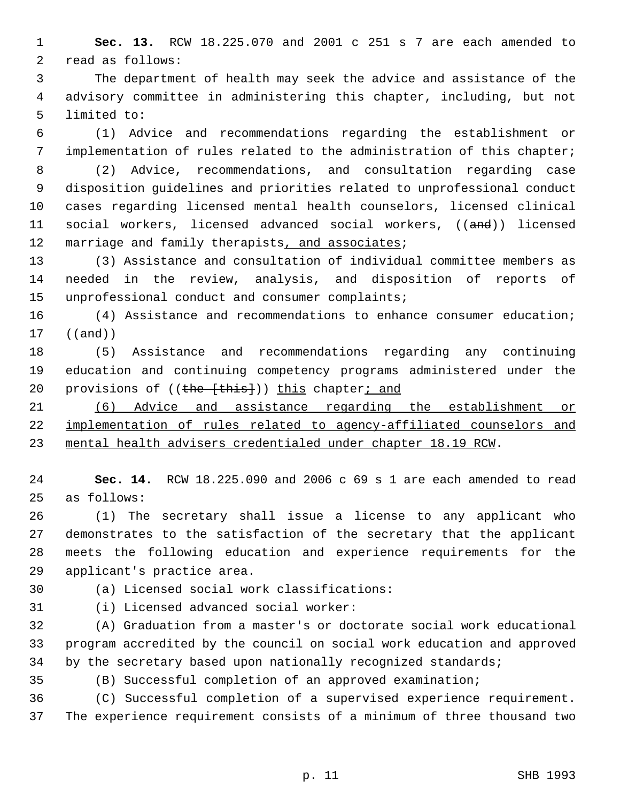**Sec. 13.** RCW 18.225.070 and 2001 c 251 s 7 are each amended to read as follows:

 The department of health may seek the advice and assistance of the advisory committee in administering this chapter, including, but not limited to:

 (1) Advice and recommendations regarding the establishment or implementation of rules related to the administration of this chapter;

 (2) Advice, recommendations, and consultation regarding case disposition guidelines and priorities related to unprofessional conduct cases regarding licensed mental health counselors, licensed clinical social workers, licensed advanced social workers, ((and)) licensed 12 marriage and family therapists, and associates;

 (3) Assistance and consultation of individual committee members as needed in the review, analysis, and disposition of reports of unprofessional conduct and consumer complaints;

 (4) Assistance and recommendations to enhance consumer education; ((and))

 (5) Assistance and recommendations regarding any continuing education and continuing competency programs administered under the 20 provisions of ((the [this])) this chapter; and

 (6) Advice and assistance regarding the establishment or implementation of rules related to agency-affiliated counselors and mental health advisers credentialed under chapter 18.19 RCW.

 **Sec. 14.** RCW 18.225.090 and 2006 c 69 s 1 are each amended to read as follows:

 (1) The secretary shall issue a license to any applicant who demonstrates to the satisfaction of the secretary that the applicant meets the following education and experience requirements for the applicant's practice area.

(a) Licensed social work classifications:

(i) Licensed advanced social worker:

 (A) Graduation from a master's or doctorate social work educational program accredited by the council on social work education and approved 34 by the secretary based upon nationally recognized standards;

(B) Successful completion of an approved examination;

 (C) Successful completion of a supervised experience requirement. The experience requirement consists of a minimum of three thousand two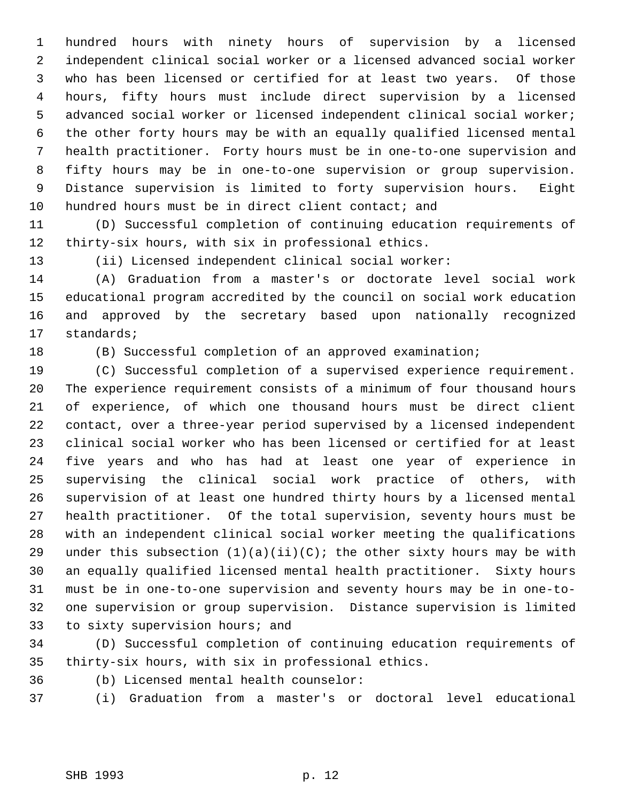hundred hours with ninety hours of supervision by a licensed independent clinical social worker or a licensed advanced social worker who has been licensed or certified for at least two years. Of those hours, fifty hours must include direct supervision by a licensed advanced social worker or licensed independent clinical social worker; the other forty hours may be with an equally qualified licensed mental health practitioner. Forty hours must be in one-to-one supervision and fifty hours may be in one-to-one supervision or group supervision. Distance supervision is limited to forty supervision hours. Eight 10 hundred hours must be in direct client contact; and

 (D) Successful completion of continuing education requirements of thirty-six hours, with six in professional ethics.

(ii) Licensed independent clinical social worker:

 (A) Graduation from a master's or doctorate level social work educational program accredited by the council on social work education and approved by the secretary based upon nationally recognized standards;

## (B) Successful completion of an approved examination;

 (C) Successful completion of a supervised experience requirement. The experience requirement consists of a minimum of four thousand hours of experience, of which one thousand hours must be direct client contact, over a three-year period supervised by a licensed independent clinical social worker who has been licensed or certified for at least five years and who has had at least one year of experience in supervising the clinical social work practice of others, with supervision of at least one hundred thirty hours by a licensed mental health practitioner. Of the total supervision, seventy hours must be with an independent clinical social worker meeting the qualifications 29 under this subsection  $(1)(a)(ii)(C)$ ; the other sixty hours may be with an equally qualified licensed mental health practitioner. Sixty hours must be in one-to-one supervision and seventy hours may be in one-to- one supervision or group supervision. Distance supervision is limited to sixty supervision hours; and

 (D) Successful completion of continuing education requirements of thirty-six hours, with six in professional ethics.

(b) Licensed mental health counselor:

(i) Graduation from a master's or doctoral level educational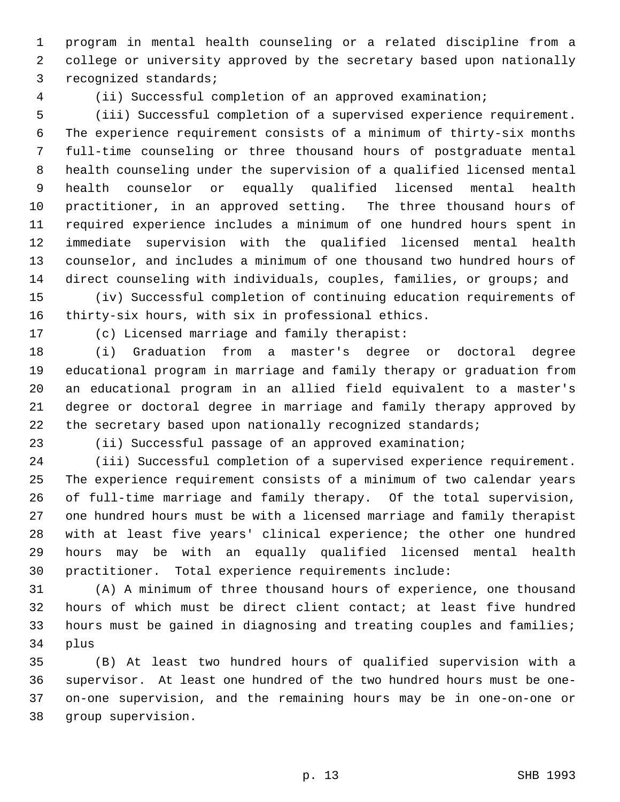program in mental health counseling or a related discipline from a college or university approved by the secretary based upon nationally recognized standards;

(ii) Successful completion of an approved examination;

 (iii) Successful completion of a supervised experience requirement. The experience requirement consists of a minimum of thirty-six months full-time counseling or three thousand hours of postgraduate mental health counseling under the supervision of a qualified licensed mental health counselor or equally qualified licensed mental health practitioner, in an approved setting. The three thousand hours of required experience includes a minimum of one hundred hours spent in immediate supervision with the qualified licensed mental health counselor, and includes a minimum of one thousand two hundred hours of direct counseling with individuals, couples, families, or groups; and

 (iv) Successful completion of continuing education requirements of thirty-six hours, with six in professional ethics.

(c) Licensed marriage and family therapist:

 (i) Graduation from a master's degree or doctoral degree educational program in marriage and family therapy or graduation from an educational program in an allied field equivalent to a master's degree or doctoral degree in marriage and family therapy approved by 22 the secretary based upon nationally recognized standards;

(ii) Successful passage of an approved examination;

 (iii) Successful completion of a supervised experience requirement. The experience requirement consists of a minimum of two calendar years of full-time marriage and family therapy. Of the total supervision, one hundred hours must be with a licensed marriage and family therapist with at least five years' clinical experience; the other one hundred hours may be with an equally qualified licensed mental health practitioner. Total experience requirements include:

 (A) A minimum of three thousand hours of experience, one thousand hours of which must be direct client contact; at least five hundred hours must be gained in diagnosing and treating couples and families; plus

 (B) At least two hundred hours of qualified supervision with a supervisor. At least one hundred of the two hundred hours must be one- on-one supervision, and the remaining hours may be in one-on-one or group supervision.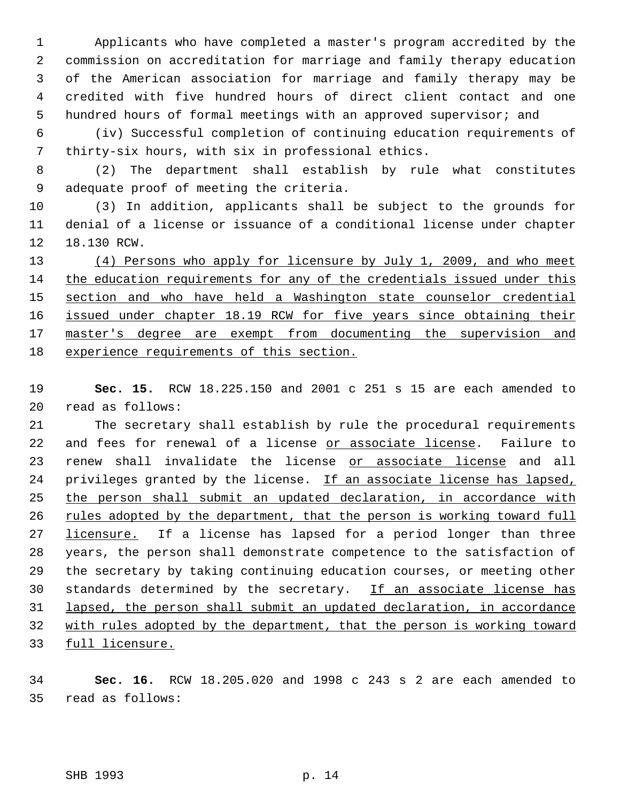Applicants who have completed a master's program accredited by the commission on accreditation for marriage and family therapy education of the American association for marriage and family therapy may be credited with five hundred hours of direct client contact and one hundred hours of formal meetings with an approved supervisor; and

 (iv) Successful completion of continuing education requirements of thirty-six hours, with six in professional ethics.

 (2) The department shall establish by rule what constitutes adequate proof of meeting the criteria.

 (3) In addition, applicants shall be subject to the grounds for denial of a license or issuance of a conditional license under chapter 18.130 RCW.

13 (4) Persons who apply for licensure by July 1, 2009, and who meet the education requirements for any of the credentials issued under this section and who have held a Washington state counselor credential 16 issued under chapter 18.19 RCW for five years since obtaining their 17 master's degree are exempt from documenting the supervision and experience requirements of this section.

 **Sec. 15.** RCW 18.225.150 and 2001 c 251 s 15 are each amended to read as follows:

 The secretary shall establish by rule the procedural requirements 22 and fees for renewal of a license or associate license. Failure to 23 renew shall invalidate the license or associate license and all 24 privileges granted by the license. If an associate license has lapsed, 25 the person shall submit an updated declaration, in accordance with 26 rules adopted by the department, that the person is working toward full 27 licensure. If a license has lapsed for a period longer than three years, the person shall demonstrate competence to the satisfaction of the secretary by taking continuing education courses, or meeting other 30 standards determined by the secretary. If an associate license has lapsed, the person shall submit an updated declaration, in accordance with rules adopted by the department, that the person is working toward 33 full licensure.

 **Sec. 16.** RCW 18.205.020 and 1998 c 243 s 2 are each amended to read as follows: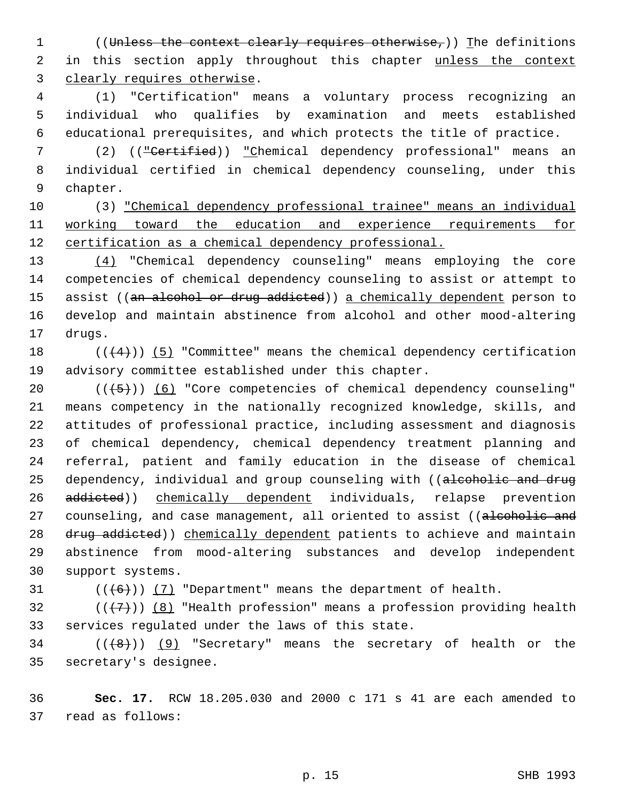1 ((Unless the context clearly requires otherwise,)) The definitions 2 in this section apply throughout this chapter unless the context clearly requires otherwise.

 (1) "Certification" means a voluntary process recognizing an individual who qualifies by examination and meets established educational prerequisites, and which protects the title of practice.

 (2) (("Certified)) "Chemical dependency professional" means an individual certified in chemical dependency counseling, under this chapter.

 (3) "Chemical dependency professional trainee" means an individual 11 working toward the education and experience requirements for 12 certification as a chemical dependency professional.

 (4) "Chemical dependency counseling" means employing the core competencies of chemical dependency counseling to assist or attempt to 15 assist ((an alcohol or drug addicted)) a chemically dependent person to develop and maintain abstinence from alcohol and other mood-altering drugs.

18  $((+4))$  (5) "Committee" means the chemical dependency certification advisory committee established under this chapter.

 $((+5))$   $(6)$  "Core competencies of chemical dependency counseling" means competency in the nationally recognized knowledge, skills, and attitudes of professional practice, including assessment and diagnosis of chemical dependency, chemical dependency treatment planning and referral, patient and family education in the disease of chemical 25 dependency, individual and group counseling with ((alcoholic and drug 26 addicted)) chemically dependent individuals, relapse prevention 27 counseling, and case management, all oriented to assist ((alcoholic and 28 drug addicted)) chemically dependent patients to achieve and maintain abstinence from mood-altering substances and develop independent support systems.

31  $((\langle 6 \rangle)(7)$  "Department" means the department of health.

32 ( $(\overline{\{7\}})$ ) (8) "Health profession" means a profession providing health services regulated under the laws of this state.

34 ( $(\langle 8 \rangle)$ ) (9) "Secretary" means the secretary of health or the secretary's designee.

 **Sec. 17.** RCW 18.205.030 and 2000 c 171 s 41 are each amended to read as follows: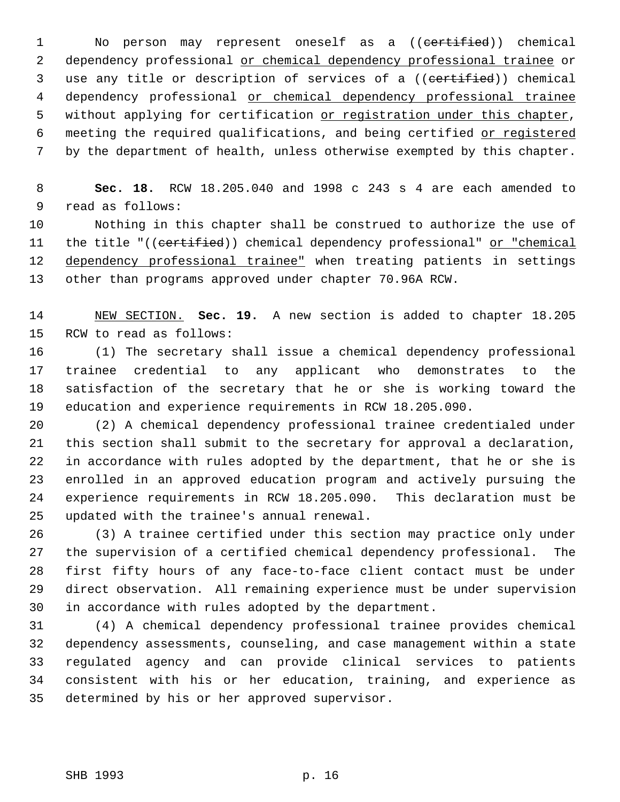1 No person may represent oneself as a ((certified)) chemical 2 dependency professional or chemical dependency professional trainee or 3 use any title or description of services of a ((certified)) chemical 4 dependency professional or chemical dependency professional trainee 5 without applying for certification or registration under this chapter, 6 meeting the required qualifications, and being certified or registered by the department of health, unless otherwise exempted by this chapter.

 **Sec. 18.** RCW 18.205.040 and 1998 c 243 s 4 are each amended to read as follows:

 Nothing in this chapter shall be construed to authorize the use of 11 the title "((certified)) chemical dependency professional" or "chemical 12 dependency professional trainee" when treating patients in settings other than programs approved under chapter 70.96A RCW.

 NEW SECTION. **Sec. 19.** A new section is added to chapter 18.205 RCW to read as follows:

 (1) The secretary shall issue a chemical dependency professional trainee credential to any applicant who demonstrates to the satisfaction of the secretary that he or she is working toward the education and experience requirements in RCW 18.205.090.

 (2) A chemical dependency professional trainee credentialed under this section shall submit to the secretary for approval a declaration, in accordance with rules adopted by the department, that he or she is enrolled in an approved education program and actively pursuing the experience requirements in RCW 18.205.090. This declaration must be updated with the trainee's annual renewal.

 (3) A trainee certified under this section may practice only under the supervision of a certified chemical dependency professional. The first fifty hours of any face-to-face client contact must be under direct observation. All remaining experience must be under supervision in accordance with rules adopted by the department.

 (4) A chemical dependency professional trainee provides chemical dependency assessments, counseling, and case management within a state regulated agency and can provide clinical services to patients consistent with his or her education, training, and experience as determined by his or her approved supervisor.